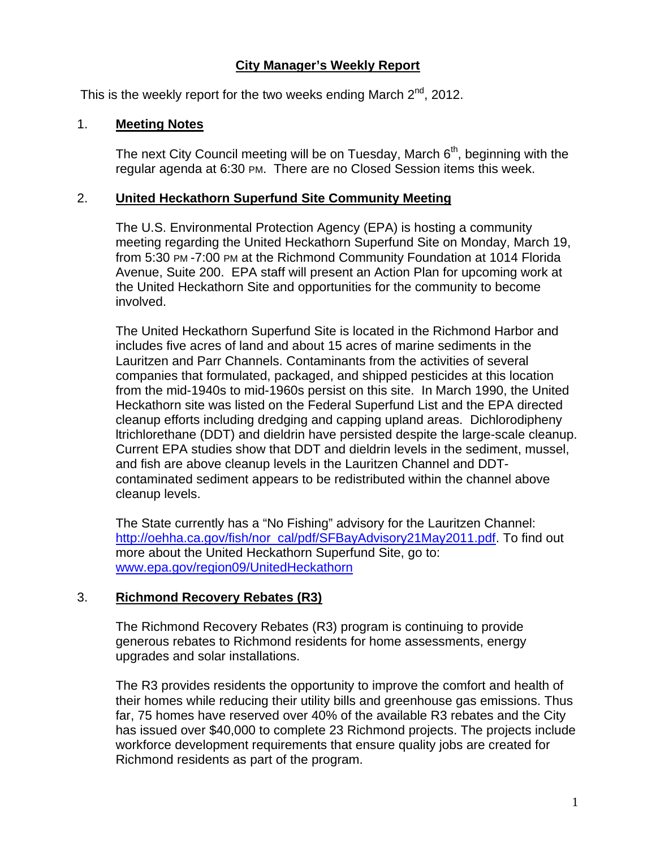# **City Manager's Weekly Report**

This is the weekly report for the two weeks ending March  $2^{nd}$ , 2012.

### 1. **Meeting Notes**

The next City Council meeting will be on Tuesday, March  $6<sup>th</sup>$ , beginning with the regular agenda at 6:30 PM. There are no Closed Session items this week.

## 2. **United Heckathorn Superfund Site Community Meeting**

The U.S. Environmental Protection Agency (EPA) is hosting a community meeting regarding the United Heckathorn Superfund Site on Monday, March 19, from 5:30 PM -7:00 PM at the Richmond Community Foundation at 1014 Florida Avenue, Suite 200. EPA staff will present an Action Plan for upcoming work at the United Heckathorn Site and opportunities for the community to become involved.

The United Heckathorn Superfund Site is located in the Richmond Harbor and includes five acres of land and about 15 acres of marine sediments in the Lauritzen and Parr Channels. Contaminants from the activities of several companies that formulated, packaged, and shipped pesticides at this location from the mid-1940s to mid-1960s persist on this site. In March 1990, the United Heckathorn site was listed on the Federal Superfund List and the EPA directed cleanup efforts including dredging and capping upland areas. Dichlorodipheny ltrichlorethane (DDT) and dieldrin have persisted despite the large-scale cleanup. Current EPA studies show that DDT and dieldrin levels in the sediment, mussel, and fish are above cleanup levels in the Lauritzen Channel and DDTcontaminated sediment appears to be redistributed within the channel above cleanup levels.

The State currently has a "No Fishing" advisory for the Lauritzen Channel: http://oehha.ca.gov/fish/nor\_cal/pdf/SFBayAdvisory21May2011.pdf. To find out more about the United Heckathorn Superfund Site, go to: www.epa.gov/region09/UnitedHeckathorn

# 3. **Richmond Recovery Rebates (R3)**

The Richmond Recovery Rebates (R3) program is continuing to provide generous rebates to Richmond residents for home assessments, energy upgrades and solar installations.

The R3 provides residents the opportunity to improve the comfort and health of their homes while reducing their utility bills and greenhouse gas emissions. Thus far, 75 homes have reserved over 40% of the available R3 rebates and the City has issued over \$40,000 to complete 23 Richmond projects. The projects include workforce development requirements that ensure quality jobs are created for Richmond residents as part of the program.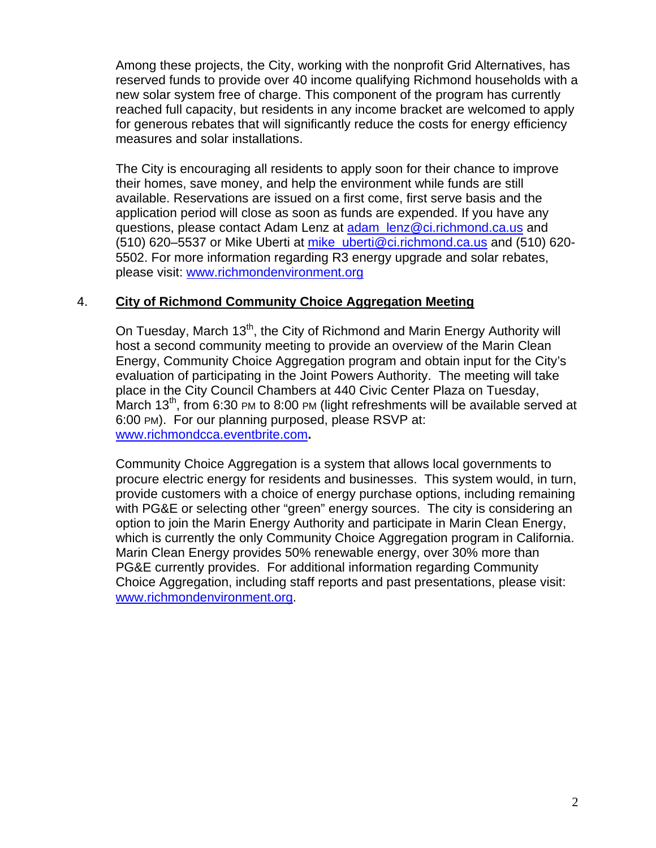Among these projects, the City, working with the nonprofit Grid Alternatives, has reserved funds to provide over 40 income qualifying Richmond households with a new solar system free of charge. This component of the program has currently reached full capacity, but residents in any income bracket are welcomed to apply for generous rebates that will significantly reduce the costs for energy efficiency measures and solar installations.

The City is encouraging all residents to apply soon for their chance to improve their homes, save money, and help the environment while funds are still available. Reservations are issued on a first come, first serve basis and the application period will close as soon as funds are expended. If you have any questions, please contact Adam Lenz at adam lenz@ci.richmond.ca.us and (510) 620–5537 or Mike Uberti at mike\_uberti@ci.richmond.ca.us and (510) 620- 5502. For more information regarding R3 energy upgrade and solar rebates, please visit: www.richmondenvironment.org

#### 4. **City of Richmond Community Choice Aggregation Meeting**

On Tuesday, March 13<sup>th</sup>, the City of Richmond and Marin Energy Authority will host a second community meeting to provide an overview of the Marin Clean Energy, Community Choice Aggregation program and obtain input for the City's evaluation of participating in the Joint Powers Authority. The meeting will take place in the City Council Chambers at 440 Civic Center Plaza on Tuesday, March  $13<sup>th</sup>$ , from 6:30 PM to 8:00 PM (light refreshments will be available served at 6:00 PM). For our planning purposed, please RSVP at: www.richmondcca.eventbrite.com**.** 

Community Choice Aggregation is a system that allows local governments to procure electric energy for residents and businesses. This system would, in turn, provide customers with a choice of energy purchase options, including remaining with PG&E or selecting other "green" energy sources. The city is considering an option to join the Marin Energy Authority and participate in Marin Clean Energy, which is currently the only Community Choice Aggregation program in California. Marin Clean Energy provides 50% renewable energy, over 30% more than PG&E currently provides. For additional information regarding Community Choice Aggregation, including staff reports and past presentations, please visit: www.richmondenvironment.org.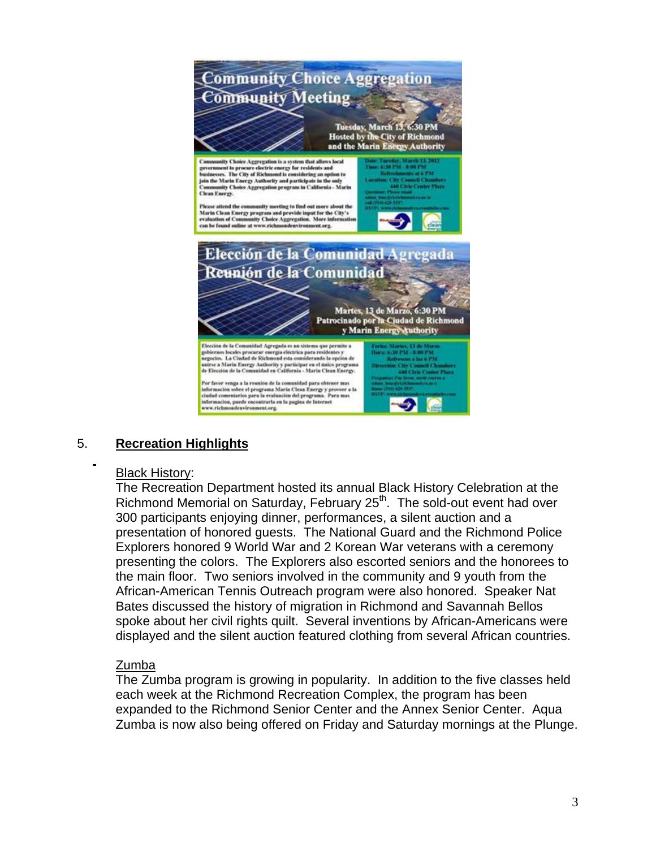

# 5. **Recreation Highlights**

#### Black History:

The Recreation Department hosted its annual Black History Celebration at the Richmond Memorial on Saturday, February 25<sup>th</sup>. The sold-out event had over 300 participants enjoying dinner, performances, a silent auction and a presentation of honored guests. The National Guard and the Richmond Police Explorers honored 9 World War and 2 Korean War veterans with a ceremony presenting the colors. The Explorers also escorted seniors and the honorees to the main floor. Two seniors involved in the community and 9 youth from the African-American Tennis Outreach program were also honored. Speaker Nat Bates discussed the history of migration in Richmond and Savannah Bellos spoke about her civil rights quilt. Several inventions by African-Americans were displayed and the silent auction featured clothing from several African countries.

#### Zumba

The Zumba program is growing in popularity. In addition to the five classes held each week at the Richmond Recreation Complex, the program has been expanded to the Richmond Senior Center and the Annex Senior Center. Aqua Zumba is now also being offered on Friday and Saturday mornings at the Plunge.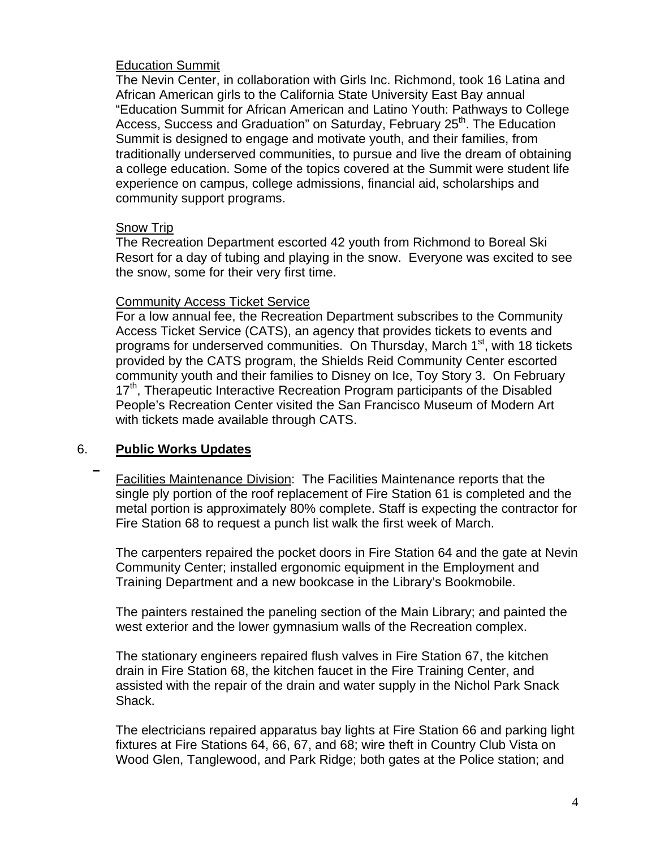#### Education Summit

The Nevin Center, in collaboration with Girls Inc. Richmond, took 16 Latina and African American girls to the California State University East Bay annual "Education Summit for African American and Latino Youth: Pathways to College Access, Success and Graduation" on Saturday, February 25<sup>th</sup>. The Education Summit is designed to engage and motivate youth, and their families, from traditionally underserved communities, to pursue and live the dream of obtaining a college education. Some of the topics covered at the Summit were student life experience on campus, college admissions, financial aid, scholarships and community support programs.

### Snow Trip

The Recreation Department escorted 42 youth from Richmond to Boreal Ski Resort for a day of tubing and playing in the snow. Everyone was excited to see the snow, some for their very first time.

#### Community Access Ticket Service

For a low annual fee, the Recreation Department subscribes to the Community Access Ticket Service (CATS), an agency that provides tickets to events and programs for underserved communities. On Thursday, March 1<sup>st</sup>, with 18 tickets provided by the CATS program, the Shields Reid Community Center escorted community youth and their families to Disney on Ice, Toy Story 3. On February 17<sup>th</sup>, Therapeutic Interactive Recreation Program participants of the Disabled People's Recreation Center visited the San Francisco Museum of Modern Art with tickets made available through CATS.

# 6. **Public Works Updates**

Facilities Maintenance Division: The Facilities Maintenance reports that the single ply portion of the roof replacement of Fire Station 61 is completed and the metal portion is approximately 80% complete. Staff is expecting the contractor for Fire Station 68 to request a punch list walk the first week of March.

The carpenters repaired the pocket doors in Fire Station 64 and the gate at Nevin Community Center; installed ergonomic equipment in the Employment and Training Department and a new bookcase in the Library's Bookmobile.

The painters restained the paneling section of the Main Library; and painted the west exterior and the lower gymnasium walls of the Recreation complex.

The stationary engineers repaired flush valves in Fire Station 67, the kitchen drain in Fire Station 68, the kitchen faucet in the Fire Training Center, and assisted with the repair of the drain and water supply in the Nichol Park Snack Shack.

The electricians repaired apparatus bay lights at Fire Station 66 and parking light fixtures at Fire Stations 64, 66, 67, and 68; wire theft in Country Club Vista on Wood Glen, Tanglewood, and Park Ridge; both gates at the Police station; and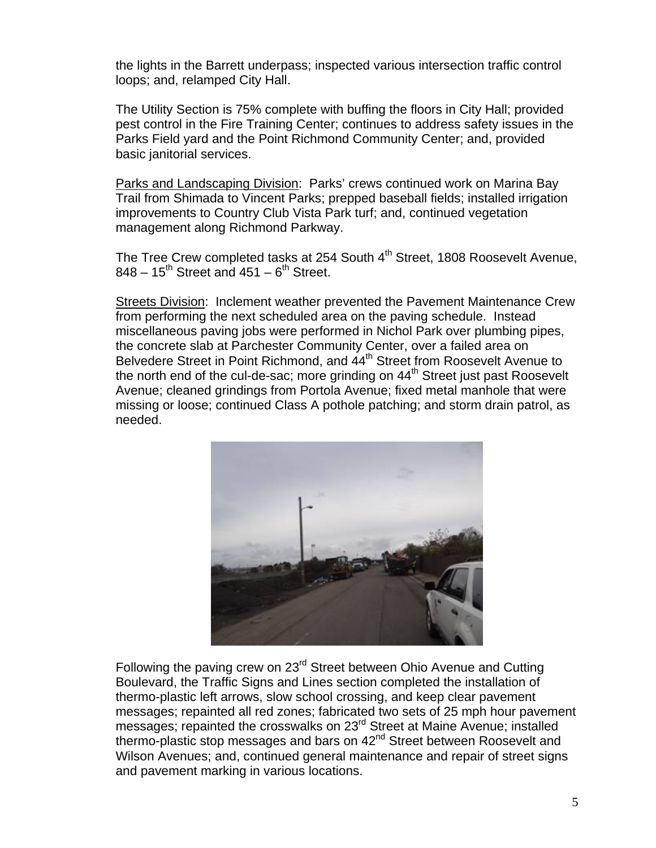the lights in the Barrett underpass; inspected various intersection traffic control loops; and, relamped City Hall.

The Utility Section is 75% complete with buffing the floors in City Hall; provided pest control in the Fire Training Center; continues to address safety issues in the Parks Field yard and the Point Richmond Community Center; and, provided basic janitorial services.

Parks and Landscaping Division: Parks' crews continued work on Marina Bay Trail from Shimada to Vincent Parks; prepped baseball fields; installed irrigation improvements to Country Club Vista Park turf; and, continued vegetation management along Richmond Parkway.

The Tree Crew completed tasks at 254 South 4<sup>th</sup> Street, 1808 Roosevelt Avenue,  $848 - 15$ <sup>th</sup> Street and  $451 - 6$ <sup>th</sup> Street.

Streets Division: Inclement weather prevented the Pavement Maintenance Crew from performing the next scheduled area on the paving schedule. Instead miscellaneous paving jobs were performed in Nichol Park over plumbing pipes, the concrete slab at Parchester Community Center, over a failed area on Belvedere Street in Point Richmond, and  $44<sup>th</sup>$  Street from Roosevelt Avenue to the north end of the cul-de-sac; more grinding on  $44<sup>th</sup>$  Street just past Roosevelt Avenue; cleaned grindings from Portola Avenue; fixed metal manhole that were missing or loose; continued Class A pothole patching; and storm drain patrol, as needed.



Following the paving crew on 23<sup>rd</sup> Street between Ohio Avenue and Cutting Boulevard, the Traffic Signs and Lines section completed the installation of thermo-plastic left arrows, slow school crossing, and keep clear pavement messages; repainted all red zones; fabricated two sets of 25 mph hour pavement messages; repainted the crosswalks on 23<sup>rd</sup> Street at Maine Avenue; installed thermo-plastic stop messages and bars on 42<sup>nd</sup> Street between Roosevelt and Wilson Avenues; and, continued general maintenance and repair of street signs and pavement marking in various locations.